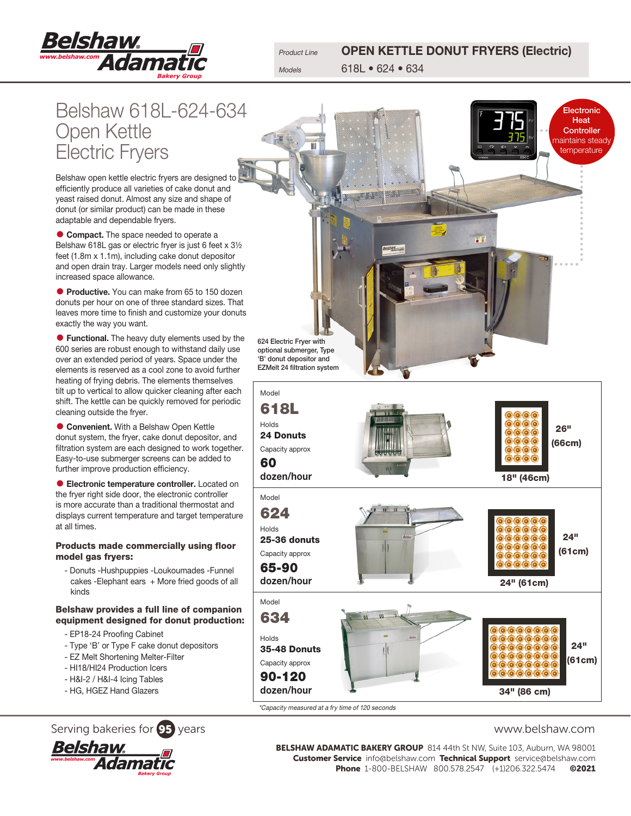

Product Line **OPEN KETTLE DONUT FRYERS (Electric)** Models 618L • 624 • 634

Belshaw 618L-624-634 Open Kettle Electric Fryers

Belshaw open kettle electric fryers are designed to efficiently produce all varieties of cake donut and yeast raised donut. Almost any size and shape of donut (or similar product) can be made in these adaptable and dependable fryers.

**• Compact.** The space needed to operate a Belshaw 618L gas or electric fryer is just 6 feet x 3½ feet (1.8m x 1.1m), including cake donut depositor and open drain tray. Larger models need only slightly increased space allowance.

**• Productive.** You can make from 65 to 150 dozen donuts per hour on one of three standard sizes. That leaves more time to finish and customize your donuts exactly the way you want.

**• Functional.** The heavy duty elements used by the 600 series are robust enough to withstand daily use over an extended period of years. Space under the elements is reserved as a cool zone to avoid further heating of frying debris. The elements themselves tilt up to vertical to allow quicker cleaning after each shift. The kettle can be quickly removed for periodic cleaning outside the fryer.

**• Convenient.** With a Belshaw Open Kettle donut system, the fryer, cake donut depositor, and filtration system are each designed to work together. Easy-to-use submerger screens can be added to further improve production efficiency.

**• Electronic temperature controller.** Located on the fryer right side door, the electronic controller is more accurate than a traditional thermostat and displays current temperature and target temperature at all times.

### Products made commercially using floor model gas fryers:

- Donuts -Hushpuppies -Loukoumades -Funnel cakes - Elephant ears + More fried goods of all kinds

### Belshaw provides a full line of companion equipment designed for donut production:

- EP18-24 Proofing Cabinet
- Type 'B' or Type F cake donut depositors
- EZ Melt Shortening Melter-Filter
- HI18/HI24 Production Icers
- H&I-2 / H&I-4 Icing Tables
- HG, HGEZ Hand Glazers

# Serving bakeries for **95** years www.belshaw.com





**Electronic Heat Controller** maintains steady temperature

624 Electric Fryer with optional submerger, Type 'B' donut depositor and EZMelt 24 filtration system



\*Capacity measured at a fry time of 120 seconds

BELSHAW ADAMATIC BAKERY GROUP 814 44th St NW, Suite 103, Auburn, WA 98001 Customer Service info@belshaw.com Technical Support service@belshaw.com Phone 1-800-BELSHAW 800.578.2547 (+1)206.322.5474 ©2021